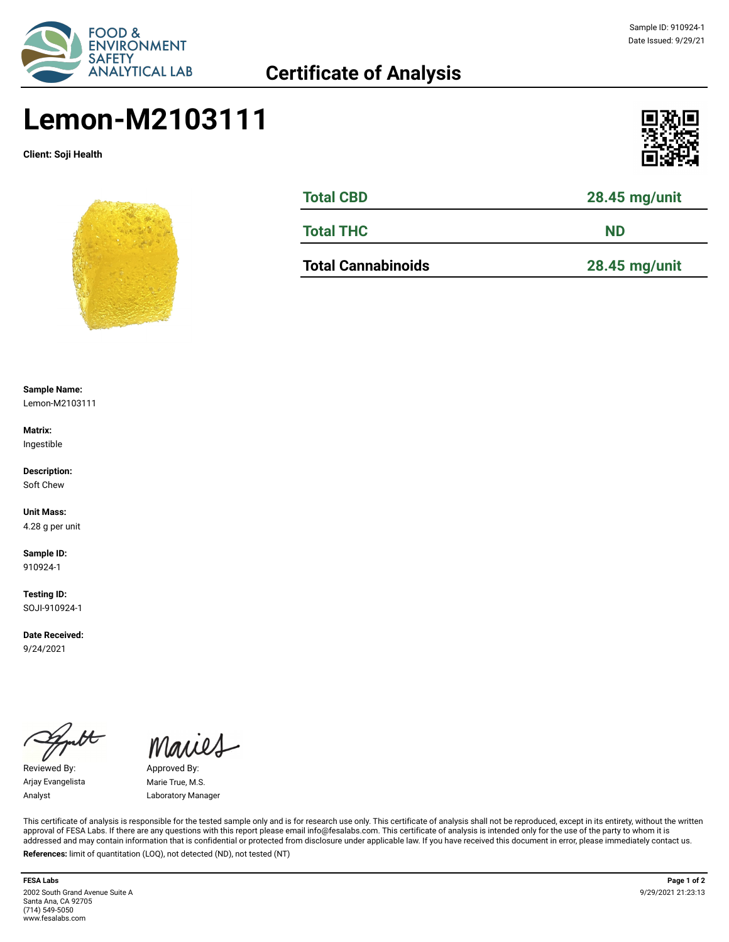

## **Certificate of Analysis**

### Sample ID: 910924-1 Date Issued: 9/29/21

# **Lemon-M2103111**

**Client: Soji Health**





| <b>Total CBD</b> | 28.45 mg/unit |
|------------------|---------------|
| <b>Total THC</b> | <b>ND</b>     |
|                  |               |

**Total Cannabinoids 28.45 mg/unit**

**Sample Name:** 

Lemon-M2103111

**Matrix:** Ingestible

**Description:** Soft Chew

**Unit Mass:**  4.28 g per unit

**Sample ID:**  910924-1

**Testing ID:**  SOJI-910924-1

**Date Received:**  9/24/2021

 $\overline{\mathcal{H}}$ 

Reviewed By: Approved By: Arjay Evangelista Marie True, M.S.

Maries

Analyst Laboratory Manager

This certificate of analysis is responsible for the tested sample only and is for research use only. This certificate of analysis shall not be reproduced, except in its entirety, without the written approval of FESA Labs. If there are any questions with this report please email info@fesalabs.com. This certificate of analysis is intended only for the use of the party to whom it is addressed and may contain information that is confidential or protected from disclosure under applicable law. If you have received this document in error, please immediately contact us. **References:** limit of quantitation (LOQ), not detected (ND), not tested (NT)

**FESA Labs Page 1 of 2** 2002 South Grand Avenue Suite A Santa Ana, CA 92705 (714) 549-5050 www.fesalabs.com